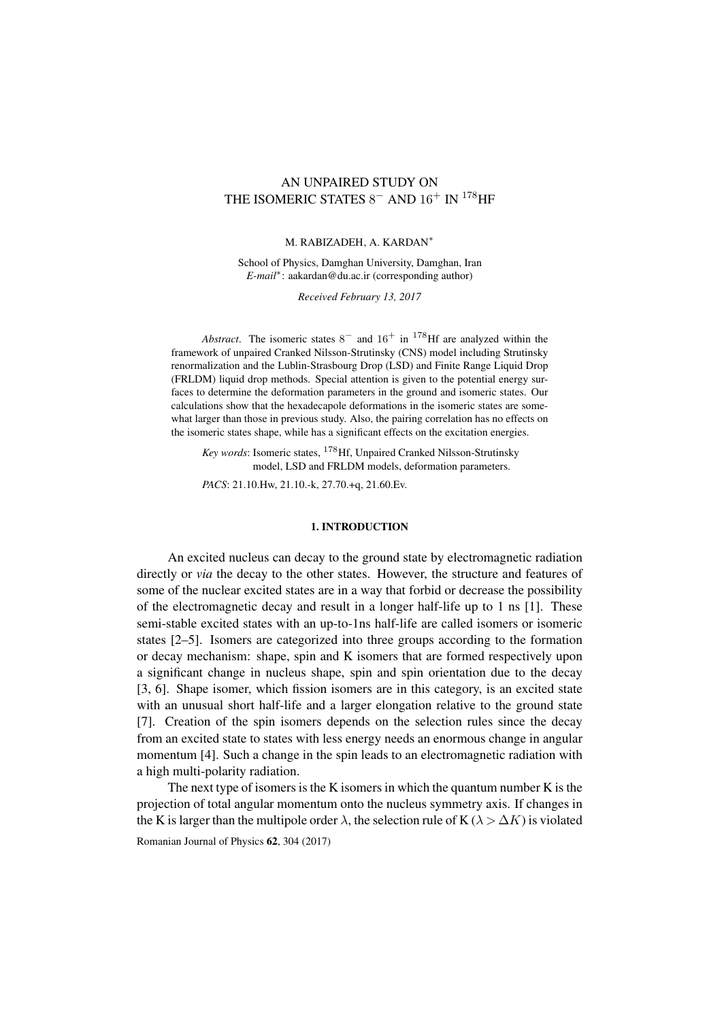# AN UNPAIRED STUDY ON THE ISOMERIC STATES  $8^-$  AND  $16^+$  IN  $^{178}\mathrm{HF}$

## M. RABIZADEH, A. KARDAN<sup>∗</sup>

School of Physics, Damghan University, Damghan, Iran *E-mail*<sup>∗</sup> : aakardan@du.ac.ir (corresponding author)

*Received February 13, 2017*

*Abstract*. The isomeric states  $8^-$  and  $16^+$  in <sup>178</sup>Hf are analyzed within the framework of unpaired Cranked Nilsson-Strutinsky (CNS) model including Strutinsky renormalization and the Lublin-Strasbourg Drop (LSD) and Finite Range Liquid Drop (FRLDM) liquid drop methods. Special attention is given to the potential energy surfaces to determine the deformation parameters in the ground and isomeric states. Our calculations show that the hexadecapole deformations in the isomeric states are somewhat larger than those in previous study. Also, the pairing correlation has no effects on the isomeric states shape, while has a significant effects on the excitation energies.

*Key words*: Isomeric states, <sup>178</sup>Hf, Unpaired Cranked Nilsson-Strutinsky model, LSD and FRLDM models, deformation parameters.

*PACS*: 21.10.Hw, 21.10.-k, 27.70.+q, 21.60.Ev.

## 1. INTRODUCTION

An excited nucleus can decay to the ground state by electromagnetic radiation directly or *via* the decay to the other states. However, the structure and features of some of the nuclear excited states are in a way that forbid or decrease the possibility of the electromagnetic decay and result in a longer half-life up to 1 ns [\[1\]](#page-6-0). These semi-stable excited states with an up-to-1ns half-life are called isomers or isomeric states [\[2](#page-6-1)[–5\]](#page-6-2). Isomers are categorized into three groups according to the formation or decay mechanism: shape, spin and K isomers that are formed respectively upon a significant change in nucleus shape, spin and spin orientation due to the decay [\[3,](#page-6-3) [6\]](#page-6-4). Shape isomer, which fission isomers are in this category, is an excited state with an unusual short half-life and a larger elongation relative to the ground state [\[7\]](#page-6-5). Creation of the spin isomers depends on the selection rules since the decay from an excited state to states with less energy needs an enormous change in angular momentum [\[4\]](#page-6-6). Such a change in the spin leads to an electromagnetic radiation with a high multi-polarity radiation.

The next type of isomers is the K isomers in which the quantum number  $K$  is the projection of total angular momentum onto the nucleus symmetry axis. If changes in the K is larger than the multipole order  $\lambda$ , the selection rule of K ( $\lambda > \Delta K$ ) is violated

Romanian Journal of Physics  $62$ , 304 (2017).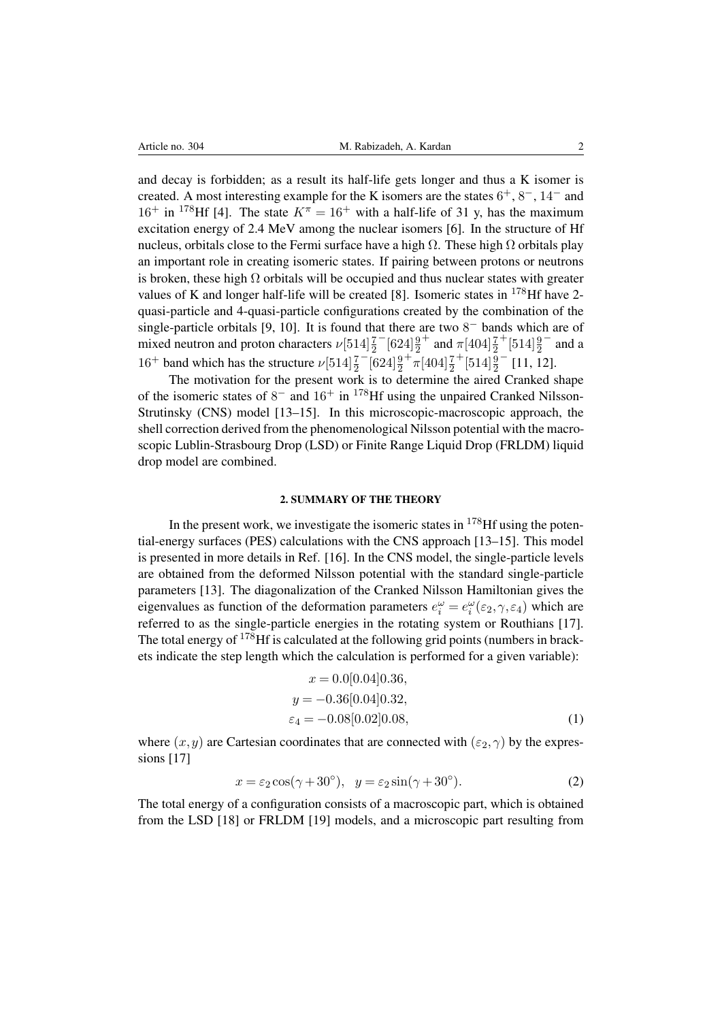and decay is forbidden; as a result its half-life gets longer and thus a K isomer is created. A most interesting example for the K isomers are the states  $6^+, 8^-, 14^-$  and  $16^+$  in <sup>178</sup>Hf [\[4\]](#page-6-6). The state  $K^{\pi} = 16^+$  with a half-life of 31 y, has the maximum excitation energy of 2.4 MeV among the nuclear isomers [\[6\]](#page-6-4). In the structure of Hf nucleus, orbitals close to the Fermi surface have a high  $Ω$ . These high  $Ω$  orbitals play an important role in creating isomeric states. If pairing between protons or neutrons is broken, these high  $\Omega$  orbitals will be occupied and thus nuclear states with greater values of K and longer half-life will be created [\[8\]](#page-6-7). Isomeric states in  $178$  Hf have 2quasi-particle and 4-quasi-particle configurations created by the combination of the single-particle orbitals [\[9,](#page-6-8) [10\]](#page-6-9). It is found that there are two  $8<sup>-</sup>$  bands which are of mixed neutron and proton characters  $\nu$ [514] $\frac{7}{2}$  $^{-}[624]\frac{9}{2}$ <sup>+</sup> and  $\pi$ [404] $\frac{7}{2}$  $+$ [514] $\frac{9}{2}$ − and a  $16^+$  band which has the structure  $\nu[514]\frac{7}{2}$  $-\left[624\right]\frac{9}{2}$  $+\pi[404]\frac{7}{2}$  $+\left[514\right]\frac{9}{2}$ − [\[11,](#page-6-10) [12\]](#page-6-11).

The motivation for the present work is to determine the aired Cranked shape of the isomeric states of  $8^-$  and  $16^+$  in <sup>178</sup>Hf using the unpaired Cranked Nilsson-Strutinsky (CNS) model [\[13–](#page-6-12)[15\]](#page-6-13). In this microscopic-macroscopic approach, the shell correction derived from the phenomenological Nilsson potential with the macroscopic Lublin-Strasbourg Drop (LSD) or Finite Range Liquid Drop (FRLDM) liquid drop model are combined.

## 2. SUMMARY OF THE THEORY

In the present work, we investigate the isomeric states in  $178$  Hf using the potential-energy surfaces (PES) calculations with the CNS approach [\[13–](#page-6-12)[15\]](#page-6-13). This model is presented in more details in Ref. [\[16\]](#page-6-14). In the CNS model, the single-particle levels are obtained from the deformed Nilsson potential with the standard single-particle parameters [\[13\]](#page-6-12). The diagonalization of the Cranked Nilsson Hamiltonian gives the eigenvalues as function of the deformation parameters  $e_i^{\omega} = e_i^{\omega}(\epsilon_2, \gamma, \epsilon_4)$  which are referred to as the single-particle energies in the rotating system or Routhians [\[17\]](#page-6-15). The total energy of  $178$ Hf is calculated at the following grid points (numbers in brackets indicate the step length which the calculation is performed for a given variable):

$$
x = 0.0[0.04]0.36,
$$
  
\n
$$
y = -0.36[0.04]0.32,
$$
  
\n
$$
\varepsilon_4 = -0.08[0.02]0.08,
$$
\n(1)

where  $(x, y)$  are Cartesian coordinates that are connected with  $(\varepsilon_2, \gamma)$  by the expres-sions [\[17\]](#page-6-15)

$$
x = \varepsilon_2 \cos(\gamma + 30^\circ), \quad y = \varepsilon_2 \sin(\gamma + 30^\circ). \tag{2}
$$

The total energy of a configuration consists of a macroscopic part, which is obtained from the LSD [\[18\]](#page-6-16) or FRLDM [\[19\]](#page-6-17) models, and a microscopic part resulting from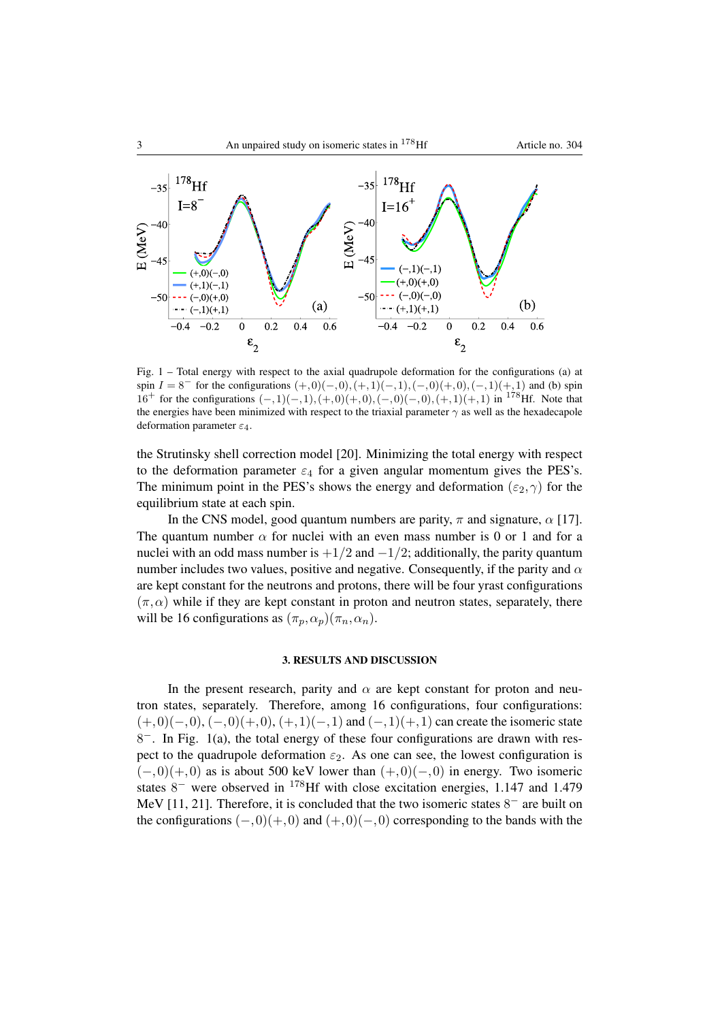

<span id="page-2-0"></span>Fig. 1 – Total energy with respect to the axial quadrupole deformation for the configurations (a) at spin  $I = 8^-$  for the configurations  $(+,0)(-,0), (+,1)(-,1), (-,0)(+,0), (-,1)(+,1)$  and (b) spin 16<sup>+</sup> for the configurations  $(-,1)(-,1), (+,0)(+,0), (-,0)(-,0), (+,1)(+,1)$  in <sup>178</sup>Hf. Note that the energies have been minimized with respect to the triaxial parameter  $\gamma$  as well as the hexadecapole deformation parameter  $\varepsilon_4$ .

the Strutinsky shell correction model [\[20\]](#page-6-18). Minimizing the total energy with respect to the deformation parameter  $\varepsilon_4$  for a given angular momentum gives the PES's. The minimum point in the PES's shows the energy and deformation ( $\varepsilon_2$ ,  $\gamma$ ) for the equilibrium state at each spin.

In the CNS model, good quantum numbers are parity,  $\pi$  and signature,  $\alpha$  [\[17\]](#page-6-15). The quantum number  $\alpha$  for nuclei with an even mass number is 0 or 1 and for a nuclei with an odd mass number is  $+1/2$  and  $-1/2$ ; additionally, the parity quantum number includes two values, positive and negative. Consequently, if the parity and  $\alpha$ are kept constant for the neutrons and protons, there will be four yrast configurations  $(\pi, \alpha)$  while if they are kept constant in proton and neutron states, separately, there will be 16 configurations as  $(\pi_p, \alpha_p)(\pi_n, \alpha_n)$ .

## 3. RESULTS AND DISCUSSION

In the present research, parity and  $\alpha$  are kept constant for proton and neutron states, separately. Therefore, among 16 configurations, four configurations:  $(+,0)(-,0), (-,0)(+,0), (+,1)(-,1)$  and  $(-,1)(+,1)$  can create the isomeric state 8<sup>-</sup>. In Fig. [1\(](#page-2-0)a), the total energy of these four configurations are drawn with respect to the quadrupole deformation  $\varepsilon_2$ . As one can see, the lowest configuration is  $(-,0)(+,0)$  as is about 500 keV lower than  $(+,0)(-,0)$  in energy. Two isomeric states  $8^-$  were observed in <sup>178</sup>Hf with close excitation energies, 1.147 and 1.479 MeV [\[11,](#page-6-10) [21\]](#page-6-19). Therefore, it is concluded that the two isomeric states  $8^-$  are built on the configurations  $(-,0)(+,0)$  and  $(+,0)(-,0)$  corresponding to the bands with the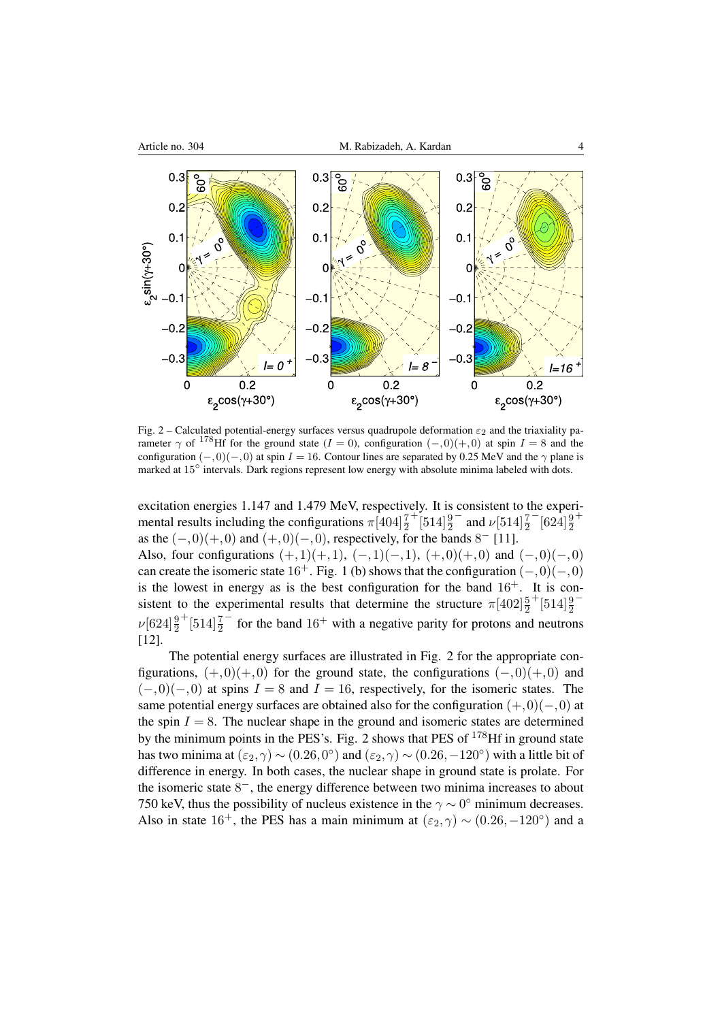

<span id="page-3-0"></span>Fig. 2 – Calculated potential-energy surfaces versus quadrupole deformation  $\varepsilon_2$  and the triaxiality parameter  $\gamma$  of <sup>178</sup>Hf for the ground state (I = 0), configuration  $(-,0)(+,0)$  at spin I = 8 and the configuration  $(-,0)(-,0)$  at spin  $I = 16$ . Contour lines are separated by 0.25 MeV and the  $\gamma$  plane is marked at 15° intervals. Dark regions represent low energy with absolute minima labeled with dots.

excitation energies 1.147 and 1.479 MeV, respectively. It is consistent to the experimental results including the configurations  $\pi[404]\frac{7}{2}$  $+\left[514\right]\frac{9}{2}$  $−$  and  $\nu$ [514] $\frac{7}{2}$  $^{-}[624]\frac{9}{2}$ + as the  $(-,0)(+,0)$  and  $(+,0)(-,0)$ , respectively, for the bands  $8^-$  [\[11\]](#page-6-10).

Also, four configurations  $(+,1)(+,1)$ ,  $(-,1)(-,1)$ ,  $(+,0)(+,0)$  and  $(-,0)(-,0)$ can create the isomeric state  $16^+$ . Fig. [1](#page-2-0) (b) shows that the configuration  $(-,0)(-,0)$ is the lowest in energy as is the best configuration for the band  $16<sup>+</sup>$ . It is consistent to the experimental results that determine the structure  $\pi[402]\frac{5}{2}$  $+$ [514] $\frac{9}{2}$ −  $\nu$ [624] $\frac{9}{2}$  $+$ [514] $\frac{7}{2}$  $\overline{\phantom{a}}$  for the band 16<sup>+</sup> with a negative parity for protons and neutrons [\[12\]](#page-6-11).

The potential energy surfaces are illustrated in Fig. [2](#page-3-0) for the appropriate configurations,  $(+,0)(+,0)$  for the ground state, the configurations  $(-,0)(+,0)$  and  $(-,0)(-,0)$  at spins  $I = 8$  and  $I = 16$ , respectively, for the isomeric states. The same potential energy surfaces are obtained also for the configuration  $(+,0)(-,0)$  at the spin  $I = 8$ . The nuclear shape in the ground and isomeric states are determined by the minimum points in the PES's. Fig. [2](#page-3-0) shows that PES of  $178$ Hf in ground state has two minima at  $(\epsilon_2, \gamma) \sim (0.26, 0^{\circ})$  and  $(\epsilon_2, \gamma) \sim (0.26, -120^{\circ})$  with a little bit of difference in energy. In both cases, the nuclear shape in ground state is prolate. For the isomeric state  $8^-$ , the energy difference between two minima increases to about 750 keV, thus the possibility of nucleus existence in the  $\gamma \sim 0^{\circ}$  minimum decreases. Also in state 16<sup>+</sup>, the PES has a main minimum at  $(\varepsilon_2, \gamma) \sim (0.26, -120^{\circ})$  and a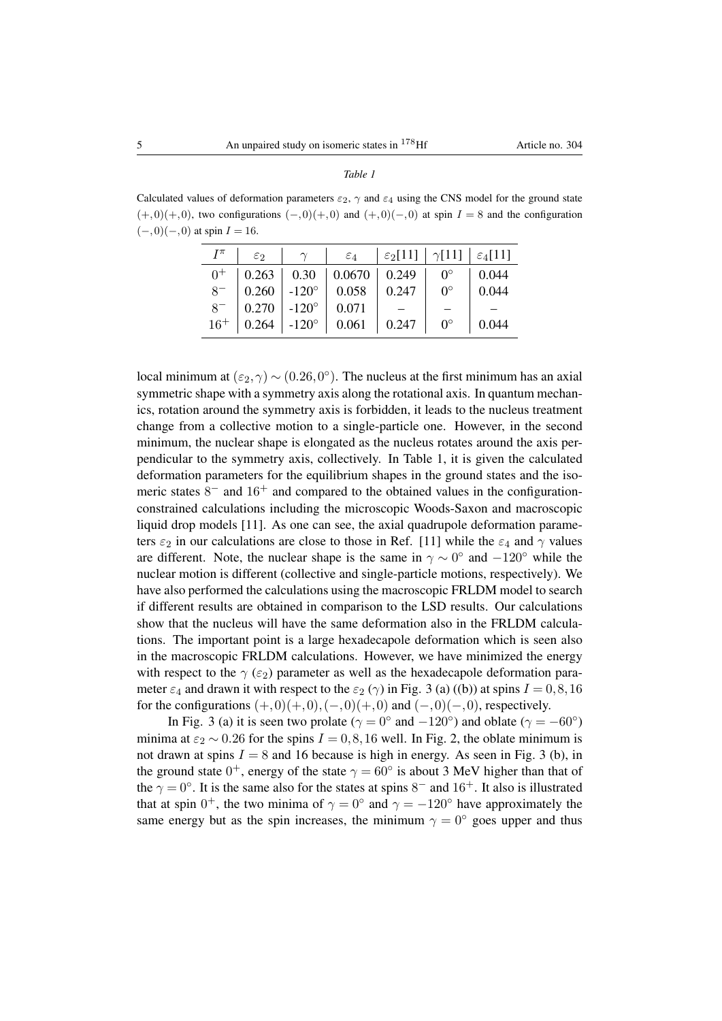◦ 0.044

| $(+,0)(+,0)$ , two configurations $(-,0)(+,0)$ and $(+,0)(-,0)$ at spin $I = 8$ and the configuration |  |                                                                                                |  |  |
|-------------------------------------------------------------------------------------------------------|--|------------------------------------------------------------------------------------------------|--|--|
| $(-,0)(-,0)$ at spin $I = 16$ .                                                                       |  |                                                                                                |  |  |
|                                                                                                       |  | $I^{\pi}$ $\epsilon_2$ $\gamma$ $\epsilon_4$ $\epsilon_2$ [11] $\gamma$ [11] $\epsilon_4$ [11] |  |  |
|                                                                                                       |  | $0^+$   0.263   0.30   0.0670   0.249   0 <sup>o</sup>   0.044                                 |  |  |
|                                                                                                       |  | $8^-$ 0.260 -120 $^{\circ}$ 0.058 0.247 0 $^{\circ}$ 0.044                                     |  |  |

 $\begin{array}{c|c|c|c|c|c|c|c|c} 8^- & 0.270 & -120^\circ & 0.071 & - & - & - \\ \hline 16^+ & 0.264 & -120^\circ & 0.061 & 0.247 & 0^\circ & 0.04 \end{array}$ 16<sup>+</sup> 0.264 -120◦ 0.061 0.247 0

| local minimum at $(\varepsilon_2, \gamma) \sim (0.26, 0^{\circ})$ . The nucleus at the first minimum has an axial<br>symmetric shape with a symmetry axis along the rotational axis. In quantum mechan- |
|---------------------------------------------------------------------------------------------------------------------------------------------------------------------------------------------------------|
|                                                                                                                                                                                                         |
| ics, rotation around the symmetry axis is forbidden, it leads to the nucleus treatment                                                                                                                  |
| change from a collective motion to a single-particle one. However, in the second                                                                                                                        |
| minimum, the nuclear shape is elongated as the nucleus rotates around the axis per-                                                                                                                     |
| pendicular to the symmetry axis, collectively. In Table 1, it is given the calculated                                                                                                                   |
| deformation parameters for the equilibrium shapes in the ground states and the iso-                                                                                                                     |
| meric states $8^-$ and $16^+$ and compared to the obtained values in the configuration-                                                                                                                 |
| constrained calculations including the microscopic Woods-Saxon and macroscopic                                                                                                                          |
| liquid drop models [11]. As one can see, the axial quadrupole deformation parame-                                                                                                                       |
| ters $\varepsilon_2$ in our calculations are close to those in Ref. [11] while the $\varepsilon_4$ and $\gamma$ values                                                                                  |
| are different. Note, the nuclear shape is the same in $\gamma \sim 0^{\circ}$ and $-120^{\circ}$ while the                                                                                              |
| nuclear motion is different (collective and single-particle motions, respectively). We                                                                                                                  |
| have also performed the calculations using the macroscopic FRLDM model to search                                                                                                                        |
| if different results are obtained in comparison to the LSD results. Our calculations                                                                                                                    |
| show that the nucleus will have the same deformation also in the FRLDM calcula-                                                                                                                         |
| tions. The important point is a large hexadecapole deformation which is seen also                                                                                                                       |
| in the macroscopic FRLDM calculations. However, we have minimized the energy                                                                                                                            |
| with respect to the $\gamma$ ( $\varepsilon_2$ ) parameter as well as the hexadecapole deformation para-                                                                                                |
| meter $\varepsilon_4$ and drawn it with respect to the $\varepsilon_2$ ( $\gamma$ ) in Fig. 3 (a) ((b)) at spins $I = 0, 8, 16$                                                                         |
| for the configurations $(+,0)(+,0),(-,0)(+,0)$ and $(-,0)(-,0)$ , respectively.                                                                                                                         |

In Fig. [3](#page-5-0) (a) it is seen two prolate ( $\gamma = 0^{\circ}$  and  $-120^{\circ}$ ) and oblate ( $\gamma = -60^{\circ}$ ) minima at  $\varepsilon_2 \sim 0.26$  for the spins  $I = 0.8, 16$  well. In Fig. [2,](#page-3-0) the oblate minimum is not drawn at spins  $I = 8$  and 16 because is high in energy. As seen in Fig. [3](#page-5-0) (b), in the ground state  $0^+$ , energy of the state  $\gamma = 60^\circ$  is about 3 MeV higher than that of the  $\gamma = 0^{\circ}$ . It is the same also for the states at spins 8<sup>-</sup> and 16<sup>+</sup>. It also is illustrated that at spin  $0^+$ , the two minima of  $\gamma = 0^{\circ}$  and  $\gamma = -120^{\circ}$  have approximately the same energy but as the spin increases, the minimum  $\gamma = 0^{\circ}$  goes upper and thus

 $(-,0)$ 

8

8

*Table 1*

<span id="page-4-0"></span>Calculated values of deformation parameters  $\varepsilon_2$ ,  $\gamma$  and  $\varepsilon_4$  using the CNS model for the ground state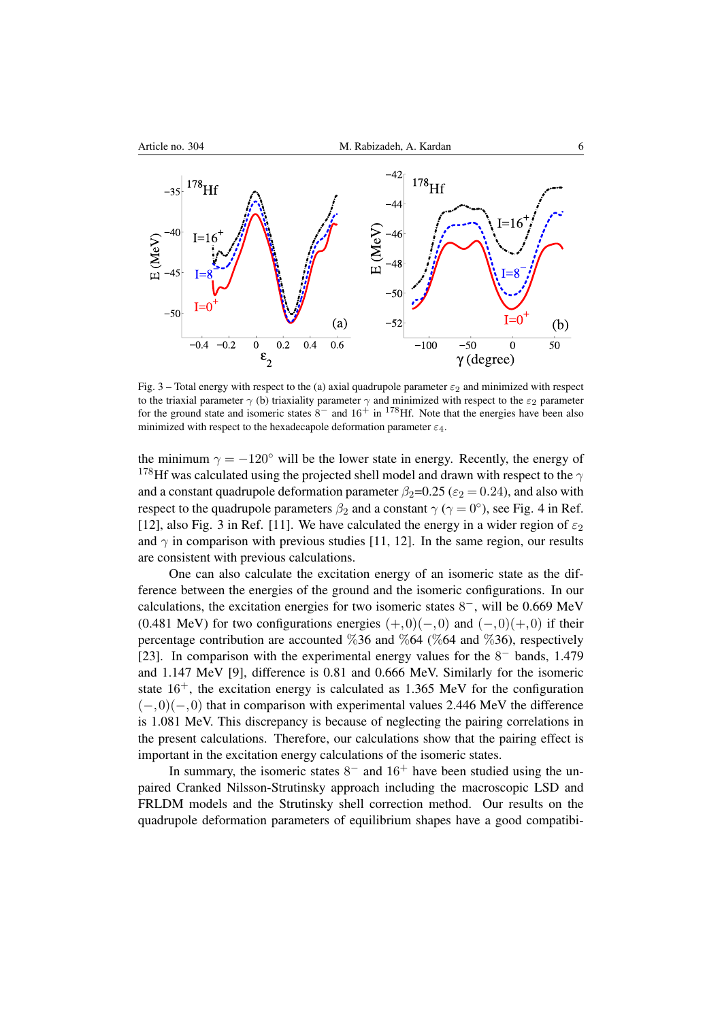

<span id="page-5-0"></span>Fig. 3 – Total energy with respect to the (a) axial quadrupole parameter  $\varepsilon_2$  and minimized with respect to the triaxial parameter  $\gamma$  (b) triaxiality parameter  $\gamma$  and minimized with respect to the  $\varepsilon_2$  parameter for the ground state and isomeric states  $8^-$  and  $16^+$  in <sup>178</sup>Hf. Note that the energies have been also minimized with respect to the hexadecapole deformation parameter  $\varepsilon_4$ .

the minimum  $\gamma = -120^\circ$  will be the lower state in energy. Recently, the energy of  $178$ Hf was calculated using the projected shell model and drawn with respect to the  $\gamma$ and a constant quadrupole deformation parameter  $\beta_2$ =0.25 ( $\varepsilon_2$  = 0.24), and also with respect to the quadrupole parameters  $\beta_2$  and a constant  $\gamma$  ( $\gamma = 0^{\circ}$ ), see Fig. 4 in Ref. [\[12\]](#page-6-11), also Fig. 3 in Ref. [\[11\]](#page-6-10). We have calculated the energy in a wider region of  $\varepsilon_2$ and  $\gamma$  in comparison with previous studies [\[11,](#page-6-10) [12\]](#page-6-11). In the same region, our results are consistent with previous calculations.

One can also calculate the excitation energy of an isomeric state as the difference between the energies of the ground and the isomeric configurations. In our calculations, the excitation energies for two isomeric states  $8^-$ , will be 0.669 MeV (0.481 MeV) for two configurations energies  $(+,0)(-,0)$  and  $(-,0)(+,0)$  if their percentage contribution are accounted  $\%36$  and  $\%64$  (%64 and %36), respectively [\[23\]](#page-6-20). In comparison with the experimental energy values for the  $8^-$  bands, 1.479 and 1.147 MeV [\[9\]](#page-6-8), difference is 0.81 and 0.666 MeV. Similarly for the isomeric state  $16^+$ , the excitation energy is calculated as 1.365 MeV for the configuration  $(-,0)(-,0)$  that in comparison with experimental values 2.446 MeV the difference is 1.081 MeV. This discrepancy is because of neglecting the pairing correlations in the present calculations. Therefore, our calculations show that the pairing effect is important in the excitation energy calculations of the isomeric states.

In summary, the isomeric states  $8^-$  and  $16^+$  have been studied using the unpaired Cranked Nilsson-Strutinsky approach including the macroscopic LSD and FRLDM models and the Strutinsky shell correction method. Our results on the quadrupole deformation parameters of equilibrium shapes have a good compatibi